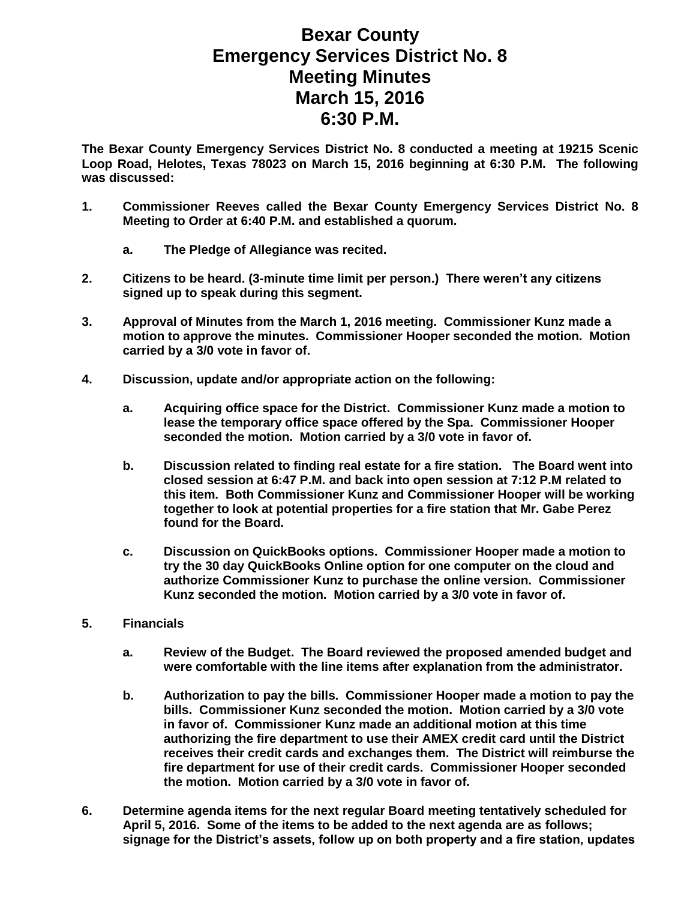## **Bexar County Emergency Services District No. 8 Meeting Minutes March 15, 2016 6:30 P.M.**

**The Bexar County Emergency Services District No. 8 conducted a meeting at 19215 Scenic Loop Road, Helotes, Texas 78023 on March 15, 2016 beginning at 6:30 P.M. The following was discussed:**

- **1. Commissioner Reeves called the Bexar County Emergency Services District No. 8 Meeting to Order at 6:40 P.M. and established a quorum.** 
	- **a. The Pledge of Allegiance was recited.**
- **2. Citizens to be heard. (3-minute time limit per person.) There weren't any citizens signed up to speak during this segment.**
- **3. Approval of Minutes from the March 1, 2016 meeting. Commissioner Kunz made a motion to approve the minutes. Commissioner Hooper seconded the motion. Motion carried by a 3/0 vote in favor of.**
- **4. Discussion, update and/or appropriate action on the following:**
	- **a. Acquiring office space for the District. Commissioner Kunz made a motion to lease the temporary office space offered by the Spa. Commissioner Hooper seconded the motion. Motion carried by a 3/0 vote in favor of.**
	- **b. Discussion related to finding real estate for a fire station. The Board went into closed session at 6:47 P.M. and back into open session at 7:12 P.M related to this item. Both Commissioner Kunz and Commissioner Hooper will be working together to look at potential properties for a fire station that Mr. Gabe Perez found for the Board.**
	- **c. Discussion on QuickBooks options. Commissioner Hooper made a motion to try the 30 day QuickBooks Online option for one computer on the cloud and authorize Commissioner Kunz to purchase the online version. Commissioner Kunz seconded the motion. Motion carried by a 3/0 vote in favor of.**
- **5. Financials**
	- **a. Review of the Budget. The Board reviewed the proposed amended budget and were comfortable with the line items after explanation from the administrator.**
	- **b. Authorization to pay the bills. Commissioner Hooper made a motion to pay the bills. Commissioner Kunz seconded the motion. Motion carried by a 3/0 vote in favor of. Commissioner Kunz made an additional motion at this time authorizing the fire department to use their AMEX credit card until the District receives their credit cards and exchanges them. The District will reimburse the fire department for use of their credit cards. Commissioner Hooper seconded the motion. Motion carried by a 3/0 vote in favor of.**
- **6. Determine agenda items for the next regular Board meeting tentatively scheduled for April 5, 2016. Some of the items to be added to the next agenda are as follows; signage for the District's assets, follow up on both property and a fire station, updates**